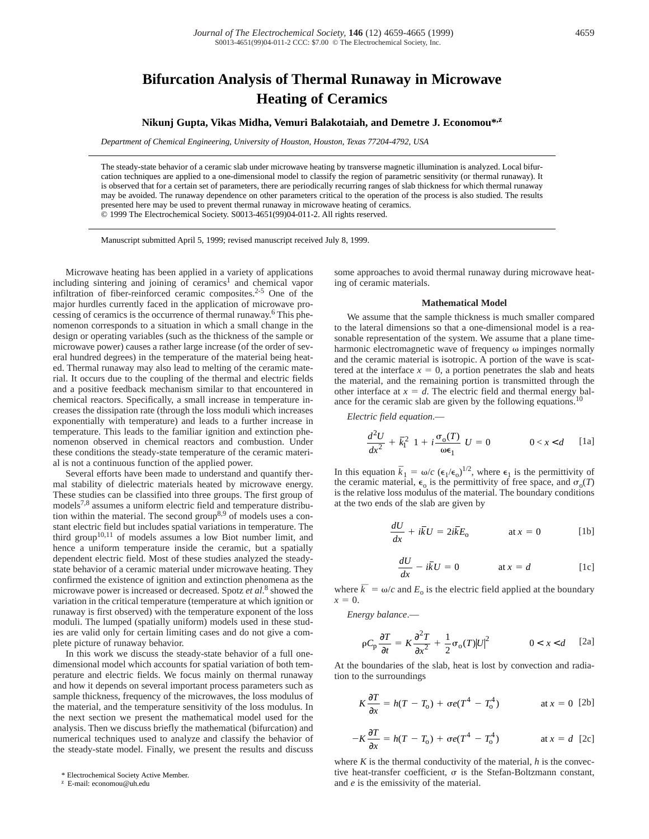# **Bifurcation Analysis of Thermal Runaway in Microwave Heating of Ceramics**

# **Nikunj Gupta, Vikas Midha, Vemuri Balakotaiah, and Demetre J. Economou\*,z**

*Department of Chemical Engineering, University of Houston, Houston, Texas 77204-4792, USA*

The steady-state behavior of a ceramic slab under microwave heating by transverse magnetic illumination is analyzed. Local bifurcation techniques are applied to a one-dimensional model to classify the region of parametric sensitivity (or thermal runaway). It is observed that for a certain set of parameters, there are periodically recurring ranges of slab thickness for which thermal runaway may be avoided. The runaway dependence on other parameters critical to the operation of the process is also studied. The results presented here may be used to prevent thermal runaway in microwave heating of ceramics. © 1999 The Electrochemical Society. S0013-4651(99)04-011-2. All rights reserved.

Manuscript submitted April 5, 1999; revised manuscript received July 8, 1999.

Microwave heating has been applied in a variety of applications including sintering and joining of ceramics<sup>1</sup> and chemical vapor infiltration of fiber-reinforced ceramic composites.2-5 One of the major hurdles currently faced in the application of microwave processing of ceramics is the occurrence of thermal runaway.6 This phenomenon corresponds to a situation in which a small change in the design or operating variables (such as the thickness of the sample or microwave power) causes a rather large increase (of the order of several hundred degrees) in the temperature of the material being heated. Thermal runaway may also lead to melting of the ceramic material. It occurs due to the coupling of the thermal and electric fields and a positive feedback mechanism similar to that encountered in chemical reactors. Specifically, a small increase in temperature increases the dissipation rate (through the loss moduli which increases exponentially with temperature) and leads to a further increase in temperature. This leads to the familiar ignition and extinction phenomenon observed in chemical reactors and combustion. Under these conditions the steady-state temperature of the ceramic material is not a continuous function of the applied power.

Several efforts have been made to understand and quantify thermal stability of dielectric materials heated by microwave energy. These studies can be classified into three groups. The first group of models7,8 assumes a uniform electric field and temperature distribution within the material. The second group<sup>8,9</sup> of models uses a constant electric field but includes spatial variations in temperature. The third group<sup>10,11</sup> of models assumes a low Biot number limit, and hence a uniform temperature inside the ceramic, but a spatially dependent electric field. Most of these studies analyzed the steadystate behavior of a ceramic material under microwave heating. They confirmed the existence of ignition and extinction phenomena as the microwave power is increased or decreased. Spotz *et al*. <sup>8</sup> showed the variation in the critical temperature (temperature at which ignition or runaway is first observed) with the temperature exponent of the loss moduli. The lumped (spatially uniform) models used in these studies are valid only for certain limiting cases and do not give a complete picture of runaway behavior.

In this work we discuss the steady-state behavior of a full onedimensional model which accounts for spatial variation of both temperature and electric fields. We focus mainly on thermal runaway and how it depends on several important process parameters such as sample thickness, frequency of the microwaves, the loss modulus of the material, and the temperature sensitivity of the loss modulus. In the next section we present the mathematical model used for the analysis. Then we discuss briefly the mathematical (bifurcation) and numerical techniques used to analyze and classify the behavior of the steady-state model. Finally, we present the results and discuss

some approaches to avoid thermal runaway during microwave heating of ceramic materials.

## **Mathematical Model**

We assume that the sample thickness is much smaller compared to the lateral dimensions so that a one-dimensional model is a reasonable representation of the system. We assume that a plane timeharmonic electromagnetic wave of frequency  $\omega$  impinges normally and the ceramic material is isotropic. A portion of the wave is scattered at the interface  $x = 0$ , a portion penetrates the slab and heats the material, and the remaining portion is transmitted through the other interface at  $x = d$ . The electric field and thermal energy balance for the ceramic slab are given by the following equations.<sup>10</sup>

*Electric field equation*.—

$$
\frac{d^2U}{dx^2} + \bar{k}_1^2 \left(1 + i\frac{\sigma_0(T)}{\omega \epsilon_1}\right) U = 0 \qquad 0 < x < d \quad \text{[1a]}
$$

In this equation *k*  $\epsilon_1 = \omega/c \ (\epsilon_1/\epsilon_0)^{1/2}$ , where  $\epsilon_1$  is the permittivity of the ceramic material,  $\epsilon_0$  is the permittivity of free space, and  $\sigma_0(T)$ is the relative loss modulus of the material. The boundary conditions at the two ends of the slab are given by

$$
\frac{dU}{dx} + i\overline{k}U = 2i\overline{k}E_0 \qquad \text{at } x = 0 \qquad [1b]
$$

$$
\frac{dU}{dx} - i\overline{k}U = 0 \qquad \text{at } x = d \qquad [1c]
$$

where  $\overline{k} = \omega/c$  and  $E_0$  is the electric field applied at the boundary  $x = 0$ .

*Energy balance*.—

$$
\rho C_{\mathbf{p}} \frac{\partial T}{\partial t} = K \frac{\partial^2 T}{\partial x^2} + \frac{1}{2} \sigma_{\mathbf{0}}(T) |U|^2 \qquad 0 < x < d \quad [2a]
$$

At the boundaries of the slab, heat is lost by convection and radiation to the surroundings

$$
K\frac{\partial T}{\partial x} = h(T - T_0) + \sigma e(T^4 - T_0^4) \qquad \text{at } x = 0 \text{ [2b]}
$$

$$
-K\frac{\partial T}{\partial x} = h(T - T_0) + \sigma e(T^4 - T_0^4) \qquad \text{at } x = d \text{ [2c]}
$$

where  $K$  is the thermal conductivity of the material,  $h$  is the convective heat-transfer coefficient,  $\sigma$  is the Stefan-Boltzmann constant, and *e* is the emissivity of the material.

<sup>\*</sup> Electrochemical Society Active Member.

<sup>z</sup> E-mail: economou@uh.edu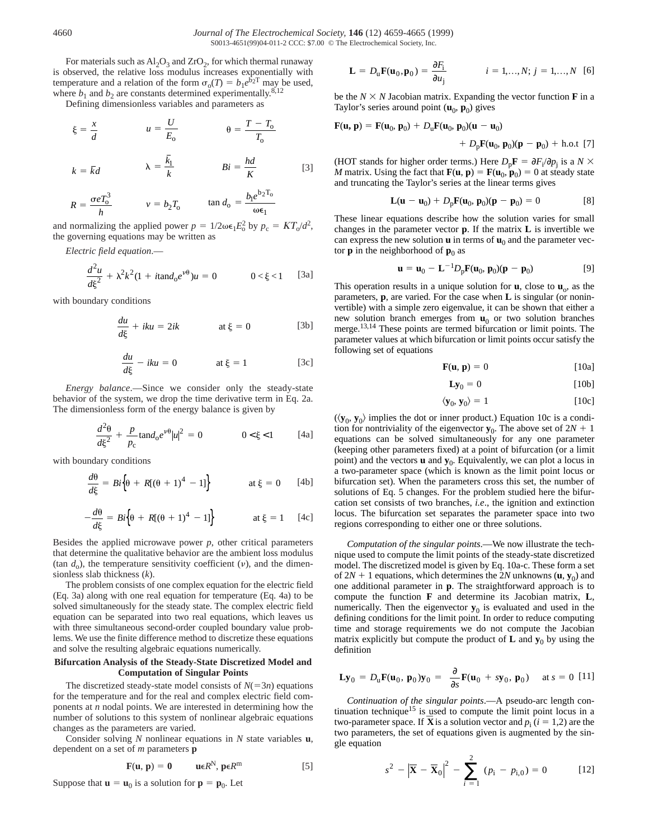For materials such as  $Al_2O_3$  and  $ZrO_2$ , for which thermal runaway is observed, the relative loss modulus increases exponentially with temperature and a relation of the form  $\sigma_0(T) = b_1 e^{b_2 T}$  may be used, where  $b_1$  and  $b_2$  are constants determined experimentally.<sup>8,12</sup>

Defining dimensionless variables and parameters as

$$
\xi = \frac{x}{d} \qquad u = \frac{U}{E_o} \qquad \theta = \frac{T - T_o}{T_o}
$$

$$
k = \bar{k}d \qquad \qquad \lambda = \frac{k_1}{k} \qquad \qquad Bi = \frac{hd}{K} \qquad \qquad [3]
$$

$$
R = \frac{\sigma e T_0^3}{h} \qquad \qquad v = b_2 T_0 \qquad \qquad \tan d_0 = \frac{b_1 e^{b_2 T_0}}{\omega \epsilon_1}
$$

and normalizing the applied power  $p = 1/2\omega\epsilon_1 E_0^2$  by  $p_c = KT_0/d^2$ , the governing equations may be written as

*Electric field equation*.—

$$
\frac{d^2u}{d\xi^2} + \lambda^2 k^2 (1 + it \text{and}_0 e^{\nu \theta}) u = 0 \qquad 0 < \xi < 1
$$
 [3a]

with boundary conditions

$$
\frac{du}{d\xi} + iku = 2ik \qquad \text{at } \xi = 0 \qquad [3b]
$$

$$
\frac{du}{d\xi} - iku = 0 \qquad \text{at } \xi = 1 \qquad [3c]
$$

*Energy balance*.—Since we consider only the steady-state behavior of the system, we drop the time derivative term in Eq. 2a. The dimensionless form of the energy balance is given by

$$
\frac{d^2\theta}{d\xi^2} + \frac{p}{p_c}\tan d_0 e^{\nu\theta} |u|^2 = 0 \qquad 0 < \xi < 1
$$
 [4a]

with boundary conditions

$$
\frac{d\theta}{d\xi} = Bi\Big\{\theta + R[(\theta + 1)^4 - 1]\Big\} \qquad \text{at } \xi = 0 \qquad [4b]
$$

$$
-\frac{d\theta}{d\xi} = Bi\Big\{\theta + R[(\theta + 1)^4 - 1]\Big\} \qquad \text{at } \xi = 1 \quad [4c]
$$

Besides the applied microwave power  $p$ , other critical parameters that determine the qualitative behavior are the ambient loss modulus (tan  $d_0$ ), the temperature sensitivity coefficient (v), and the dimensionless slab thickness (*k*).

The problem consists of one complex equation for the electric field (Eq. 3a) along with one real equation for temperature (Eq. 4a) to be solved simultaneously for the steady state. The complex electric field equation can be separated into two real equations, which leaves us with three simultaneous second-order coupled boundary value problems. We use the finite difference method to discretize these equations and solve the resulting algebraic equations numerically.

# **Bifurcation Analysis of the Steady-State Discretized Model and Computation of Singular Points**

The discretized steady-state model consists of  $N(=3n)$  equations for the temperature and for the real and complex electric field components at *n* nodal points. We are interested in determining how the number of solutions to this system of nonlinear algebraic equations changes as the parameters are varied.

Consider solving *N* nonlinear equations in *N* state variables **u**, dependent on a set of *m* parameters **p**

$$
\mathbf{F}(\mathbf{u},\mathbf{p})=\mathbf{0}\qquad \mathbf{u}\in R^{\mathbf{N}},\mathbf{p}\in R^{\mathbf{m}}\tag{5}
$$

Suppose that  $\mathbf{u} = \mathbf{u}_0$  is a solution for  $\mathbf{p} = \mathbf{p}_0$ . Let

$$
\mathbf{L} = D_{\mathbf{u}} \mathbf{F}(\mathbf{u}_0, \mathbf{p}_0) = \frac{\partial F_i}{\partial u_j} \qquad i = 1, ..., N; j = 1, ..., N \quad [6]
$$

be the  $N \times N$  Jacobian matrix. Expanding the vector function **F** in a Taylor's series around point  $(\mathbf{u}_0, \mathbf{p}_0)$  gives

$$
\mathbf{F}(\mathbf{u}, \mathbf{p}) = \mathbf{F}(\mathbf{u}_0, \mathbf{p}_0) + D_{\mathbf{u}} \mathbf{F}(\mathbf{u}_0, \mathbf{p}_0)(\mathbf{u} - \mathbf{u}_0) + D_{\mathbf{p}} \mathbf{F}(\mathbf{u}_0, \mathbf{p}_0)(\mathbf{p} - \mathbf{p}_0) + \text{h.o.t [7]}
$$

(HOT stands for higher order terms.) Here  $D_p \mathbf{F} = \partial F_i / \partial p_j$  is a  $N \times$ *M* matrix. Using the fact that  $\mathbf{F}(\mathbf{u}, \mathbf{p}) = \mathbf{F}(\mathbf{u}_0, \mathbf{p}_0) = 0$  at steady state and truncating the Taylor's series at the linear terms gives

$$
L(u - u_0) + D_p F(u_0, p_0)(p - p_0) = 0
$$
 [8]

These linear equations describe how the solution varies for small changes in the parameter vector **p**. If the matrix **L** is invertible we can express the new solution  $\bf{u}$  in terms of  $\bf{u}_0$  and the parameter vector **p** in the neighborhood of  $\mathbf{p}_0$  as

$$
\mathbf{u} = \mathbf{u}_0 - \mathbf{L}^{-1} D_p \mathbf{F}(\mathbf{u}_0, \mathbf{p}_0)(\mathbf{p} - \mathbf{p}_0)
$$
 [9]

This operation results in a unique solution for  $\mathbf{u}$ , close to  $\mathbf{u}_0$ , as the parameters, **p**, are varied. For the case when **L** is singular (or noninvertible) with a simple zero eigenvalue, it can be shown that either a new solution branch emerges from  $\mathbf{u}_0$  or two solution branches merge.<sup>13,14</sup> These points are termed bifurcation or limit points. The parameter values at which bifurcation or limit points occur satisfy the following set of equations

$$
\mathbf{F}(\mathbf{u}, \mathbf{p}) = 0 \tag{10a}
$$

$$
Ly_0 = 0
$$
 [10b]

$$
\langle \mathbf{y}_0, \mathbf{y}_0 \rangle = 1 \tag{10c}
$$

 $(\langle y_0, y_0 \rangle)$  implies the dot or inner product.) Equation 10c is a condition for nontriviality of the eigenvector  $\mathbf{y}_0$ . The above set of  $2N + 1$ equations can be solved simultaneously for any one parameter (keeping other parameters fixed) at a point of bifurcation (or a limit point) and the vectors  $\bf{u}$  and  $\bf{y}_0$ . Equivalently, we can plot a locus in a two-parameter space (which is known as the limit point locus or bifurcation set). When the parameters cross this set, the number of solutions of Eq. 5 changes. For the problem studied here the bifurcation set consists of two branches, *i.e*., the ignition and extinction locus. The bifurcation set separates the parameter space into two regions corresponding to either one or three solutions.

*Computation of the singular points*.—We now illustrate the technique used to compute the limit points of the steady-state discretized model. The discretized model is given by Eq. 10a-c. These form a set of  $2N + 1$  equations, which determines the  $2N$  unknowns  $(\mathbf{u}, \mathbf{y}_0)$  and one additional parameter in **p**. The straightforward approach is to compute the function **F** and determine its Jacobian matrix, **L**, numerically. Then the eigenvector  $y_0$  is evaluated and used in the defining conditions for the limit point. In order to reduce computing time and storage requirements we do not compute the Jacobian matrix explicitly but compute the product of  $\bf{L}$  and  $\bf{y}_0$  by using the definition

$$
\mathbf{L}\mathbf{y}_0 = D_\mathbf{u}\mathbf{F}(\mathbf{u}_0, \mathbf{p}_0)\mathbf{y}_0 = \left(\frac{\partial}{\partial s}\mathbf{F}(\mathbf{u}_0 + s\mathbf{y}_0, \mathbf{p}_0)\right) \text{ at } s = 0 \text{ [11]}
$$

*Continuation of the singular points*.—A pseudo-arc length continuation technique<sup>15</sup> is used to compute the limit point locus in a two-parameter space. If **X** is a solution vector and  $p_i$  ( $i = 1,2$ ) are the two parameters, the set of equations given is augmented by the single equation

$$
s^{2} - \left|\overline{\mathbf{X}} - \overline{\mathbf{X}}_{0}\right|^{2} - \sum_{i=1}^{2} (p_{i} - p_{i,0}) = 0
$$
 [12]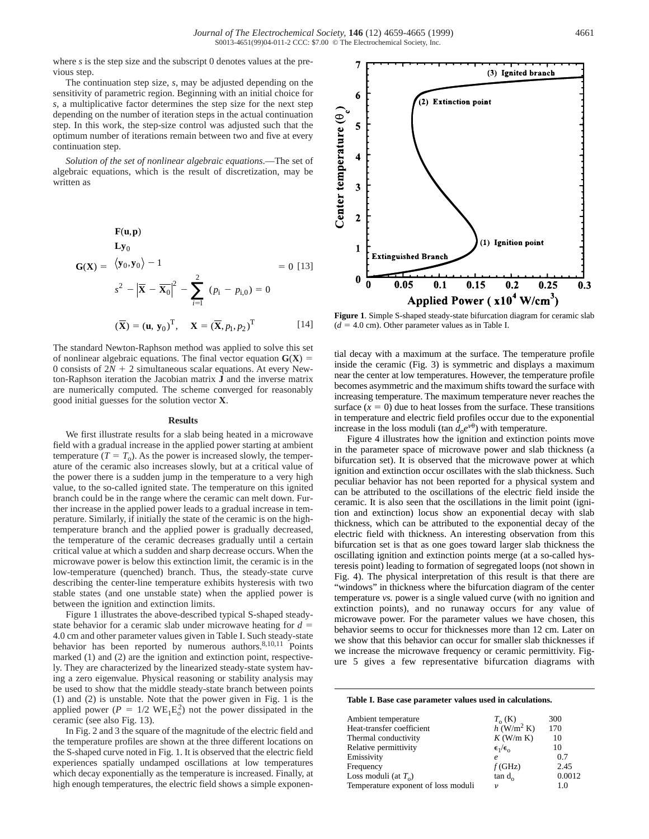where *s* is the step size and the subscript 0 denotes values at the previous step.

The continuation step size, *s*, may be adjusted depending on the sensitivity of parametric region. Beginning with an initial choice for *s*, a multiplicative factor determines the step size for the next step depending on the number of iteration steps in the actual continuation step. In this work, the step-size control was adjusted such that the optimum number of iterations remain between two and five at every continuation step.

*Solution of the set of nonlinear algebraic equations*.—The set of algebraic equations, which is the result of discretization, may be written as

$$
\mathbf{G}(\mathbf{X}) = \begin{pmatrix} \mathbf{F}(\mathbf{u}, \mathbf{p}) \\ \mathbf{L}\mathbf{y}_0 \\ \langle \mathbf{y}_0, \mathbf{y}_0 \rangle - 1 \\ s^2 - |\overline{\mathbf{X}} - \overline{\mathbf{X}}_0|^2 - \sum_{i=1}^2 (p_i - p_{i,0}) = 0 \\ (\overline{\mathbf{X}}) = (\mathbf{u}, \mathbf{y}_0)^T, \quad \mathbf{X} = (\overline{\mathbf{X}}, p_1, p_2)^T \end{pmatrix} = 0
$$
[14]

The standard Newton-Raphson method was applied to solve this set of nonlinear algebraic equations. The final vector equation  $G(X) =$ 0 consists of  $2N + 2$  simultaneous scalar equations. At every Newton-Raphson iteration the Jacobian matrix **J** and the inverse matrix are numerically computed. The scheme converged for reasonably good initial guesses for the solution vector **X**.

### **Results**

We first illustrate results for a slab being heated in a microwave field with a gradual increase in the applied power starting at ambient temperature  $(T = T_0)$ . As the power is increased slowly, the temperature of the ceramic also increases slowly, but at a critical value of the power there is a sudden jump in the temperature to a very high value, to the so-called ignited state. The temperature on this ignited branch could be in the range where the ceramic can melt down. Further increase in the applied power leads to a gradual increase in temperature. Similarly, if initially the state of the ceramic is on the hightemperature branch and the applied power is gradually decreased, the temperature of the ceramic decreases gradually until a certain critical value at which a sudden and sharp decrease occurs. When the microwave power is below this extinction limit, the ceramic is in the low-temperature (quenched) branch. Thus, the steady-state curve describing the center-line temperature exhibits hysteresis with two stable states (and one unstable state) when the applied power is between the ignition and extinction limits.

Figure 1 illustrates the above-described typical S-shaped steadystate behavior for a ceramic slab under microwave heating for  $d =$ 4.0 cm and other parameter values given in Table I. Such steady-state behavior has been reported by numerous authors.<sup>8,10,11</sup> Points marked (1) and (2) are the ignition and extinction point, respectively. They are characterized by the linearized steady-state system having a zero eigenvalue. Physical reasoning or stability analysis may be used to show that the middle steady-state branch between points (1) and (2) is unstable. Note that the power given in Fig. 1 is the applied power ( $P = 1/2$  WE<sub>1</sub>E<sub>0</sub><sup>2</sup>) not the power dissipated in the ceramic (see also Fig. 13).

In Fig. 2 and 3 the square of the magnitude of the electric field and the temperature profiles are shown at the three different locations on the S-shaped curve noted in Fig. 1. It is observed that the electric field experiences spatially undamped oscillations at low temperatures which decay exponentially as the temperature is increased. Finally, at high enough temperatures, the electric field shows a simple exponen-

**Figure 1**. Simple S-shaped steady-state bifurcation diagram for ceramic slab  $(d = 4.0 \text{ cm})$ . Other parameter values as in Table I.

tial decay with a maximum at the surface. The temperature profile inside the ceramic (Fig. 3) is symmetric and displays a maximum near the center at low temperatures. However, the temperature profile becomes asymmetric and the maximum shifts toward the surface with increasing temperature. The maximum temperature never reaches the surface  $(x = 0)$  due to heat losses from the surface. These transitions in temperature and electric field profiles occur due to the exponential increase in the loss moduli (tan  $d_0e^{\nu\theta}$ ) with temperature.

Figure 4 illustrates how the ignition and extinction points move in the parameter space of microwave power and slab thickness (a bifurcation set). It is observed that the microwave power at which ignition and extinction occur oscillates with the slab thickness. Such peculiar behavior has not been reported for a physical system and can be attributed to the oscillations of the electric field inside the ceramic. It is also seen that the oscillations in the limit point (ignition and extinction) locus show an exponential decay with slab thickness, which can be attributed to the exponential decay of the electric field with thickness. An interesting observation from this bifurcation set is that as one goes toward larger slab thickness the oscillating ignition and extinction points merge (at a so-called hysteresis point) leading to formation of segregated loops (not shown in Fig. 4). The physical interpretation of this result is that there are "windows" in thickness where the bifurcation diagram of the center temperature *vs.* power is a single valued curve (with no ignition and extinction points), and no runaway occurs for any value of microwave power. For the parameter values we have chosen, this behavior seems to occur for thicknesses more than 12 cm. Later on we show that this behavior can occur for smaller slab thicknesses if we increase the microwave frequency or ceramic permittivity. Figure 5 gives a few representative bifurcation diagrams with

#### **Table I. Base case parameter values used in calculations.**

| Ambient temperature                 | $T_{o}$ (K)              | 300    |
|-------------------------------------|--------------------------|--------|
| Heat-transfer coefficient           | $h$ (W/m <sup>2</sup> K) | 170    |
| Thermal conductivity                | $K$ (W/m K)              | 10     |
| Relative permittivity               | $\epsilon_1/\epsilon_0$  | 10     |
| Emissivity                          | e                        | 0.7    |
| Frequency                           | $f$ (GHz)                | 2.45   |
| Loss moduli (at $T_0$ )             | tan d <sub>o</sub>       | 0.0012 |
| Temperature exponent of loss moduli | ν                        | 1.0    |

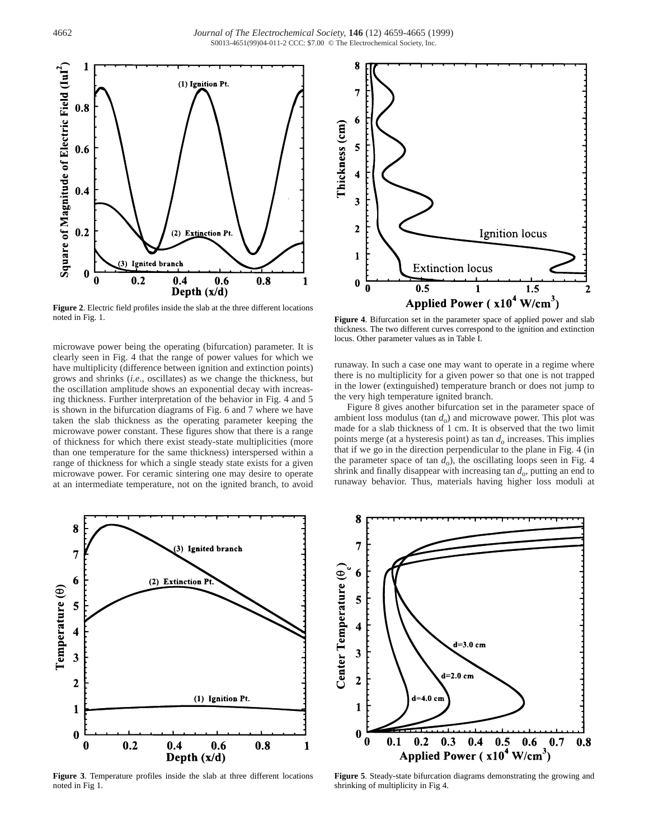

**Figure 2**. Electric field profiles inside the slab at the three different locations noted in Fig. 1.

microwave power being the operating (bifurcation) parameter. It is clearly seen in Fig. 4 that the range of power values for which we have multiplicity (difference between ignition and extinction points) grows and shrinks (*i.e*., oscillates) as we change the thickness, but the oscillation amplitude shows an exponential decay with increasing thickness. Further interpretation of the behavior in Fig. 4 and 5 is shown in the bifurcation diagrams of Fig. 6 and 7 where we have taken the slab thickness as the operating parameter keeping the microwave power constant. These figures show that there is a range of thickness for which there exist steady-state multiplicities (more than one temperature for the same thickness) interspersed within a range of thickness for which a single steady state exists for a given microwave power. For ceramic sintering one may desire to operate at an intermediate temperature, not on the ignited branch, to avoid



**Figure 3**. Temperature profiles inside the slab at three different locations noted in Fig 1.



**Figure 4**. Bifurcation set in the parameter space of applied power and slab thickness. The two different curves correspond to the ignition and extinction locus. Other parameter values as in Table I.

runaway. In such a case one may want to operate in a regime where there is no multiplicity for a given power so that one is not trapped in the lower (extinguished) temperature branch or does not jump to the very high temperature ignited branch.

Figure 8 gives another bifurcation set in the parameter space of ambient loss modulus (tan  $d<sub>o</sub>$ ) and microwave power. This plot was made for a slab thickness of 1 cm. It is observed that the two limit points merge (at a hysteresis point) as tan  $d_0$  increases. This implies that if we go in the direction perpendicular to the plane in Fig. 4 (in the parameter space of tan  $d_0$ ), the oscillating loops seen in Fig. 4 shrink and finally disappear with increasing tan  $d_0$ , putting an end to runaway behavior. Thus, materials having higher loss moduli at



**Figure 5**. Steady-state bifurcation diagrams demonstrating the growing and shrinking of multiplicity in Fig 4.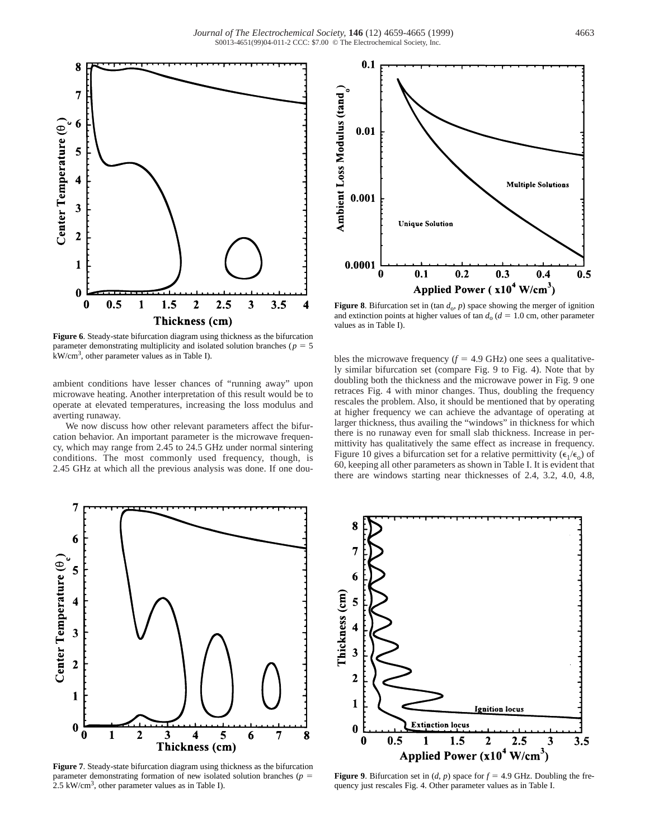

**Figure 6**. Steady-state bifurcation diagram using thickness as the bifurcation parameter demonstrating multiplicity and isolated solution branches ( $p = 5$ ) kW/cm3, other parameter values as in Table I).

ambient conditions have lesser chances of "running away" upon microwave heating. Another interpretation of this result would be to operate at elevated temperatures, increasing the loss modulus and averting runaway.

We now discuss how other relevant parameters affect the bifurcation behavior. An important parameter is the microwave frequency, which may range from 2.45 to 24.5 GHz under normal sintering conditions. The most commonly used frequency, though, is 2.45 GHz at which all the previous analysis was done. If one dou-



**Figure 8**. Bifurcation set in (tan  $d_0$ ,  $p$ ) space showing the merger of ignition and extinction points at higher values of tan  $d_0$  ( $d = 1.0$  cm, other parameter values as in Table I).

bles the microwave frequency  $(f = 4.9 \text{ GHz})$  one sees a qualitatively similar bifurcation set (compare Fig. 9 to Fig. 4). Note that by doubling both the thickness and the microwave power in Fig. 9 one retraces Fig. 4 with minor changes. Thus, doubling the frequency rescales the problem. Also, it should be mentioned that by operating at higher frequency we can achieve the advantage of operating at larger thickness, thus availing the "windows" in thickness for which there is no runaway even for small slab thickness. Increase in permittivity has qualitatively the same effect as increase in frequency. Figure 10 gives a bifurcation set for a relative permittivity  $(\epsilon_1/\epsilon_0)$  of 60, keeping all other parameters as shown in Table I. It is evident that there are windows starting near thicknesses of 2.4, 3.2, 4.0, 4.8,



**Figure 7**. Steady-state bifurcation diagram using thickness as the bifurcation parameter demonstrating formation of new isolated solution branches ( $p =$  $2.5 \text{ kW/cm}^3$ , other parameter values as in Table I).



**Figure 9.** Bifurcation set in  $(d, p)$  space for  $f = 4.9$  GHz. Doubling the frequency just rescales Fig. 4. Other parameter values as in Table I.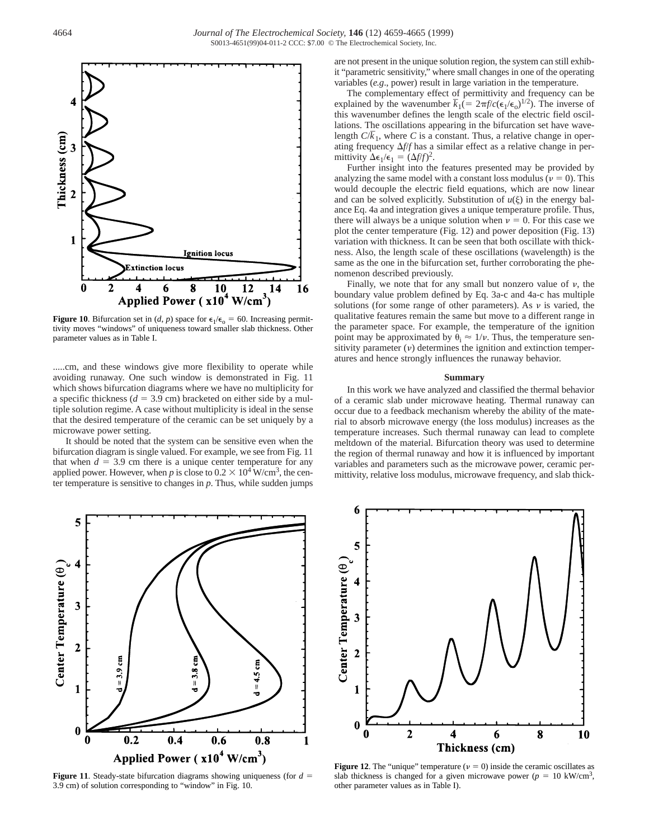

**Figure 10**. Bifurcation set in (*d*, *p*) space for  $\epsilon_1/\epsilon_0 = 60$ . Increasing permittivity moves "windows" of uniqueness toward smaller slab thickness. Other parameter values as in Table I.

.....cm, and these windows give more flexibility to operate while avoiding runaway. One such window is demonstrated in Fig. 11 which shows bifurcation diagrams where we have no multiplicity for a specific thickness  $(d = 3.9 \text{ cm})$  bracketed on either side by a multiple solution regime. A case without multiplicity is ideal in the sense that the desired temperature of the ceramic can be set uniquely by a microwave power setting.

It should be noted that the system can be sensitive even when the bifurcation diagram is single valued. For example, we see from Fig. 11 that when  $d = 3.9$  cm there is a unique center temperature for any applied power. However, when *p* is close to  $0.2 \times 10^4$  W/cm<sup>3</sup>, the center temperature is sensitive to changes in *p*. Thus, while sudden jumps



**Figure 11.** Steady-state bifurcation diagrams showing uniqueness (for  $d =$ 3.9 cm) of solution corresponding to "window" in Fig. 10.

are not present in the unique solution region, the system can still exhibit "parametric sensitivity," where small changes in one of the operating variables (*e.g*., power) result in large variation in the temperature.

The complementary effect of permittivity and frequency can be explained by the wavenumber  $\overline{k}_1$  (=  $2\pi f/c$  ( $\epsilon_1/\epsilon_0$ )<sup>1/2</sup>). The inverse of this wavenumber defines the length scale of the electric field oscillations. The oscillations appearing in the bifurcation set have wave-\_ length *C*/*k* 1, where *C* is a constant. Thus, a relative change in operating frequency  $\Delta f/f$  has a similar effect as a relative change in permittivity  $\Delta \epsilon_1 / \epsilon_1 = (\Delta f/f)^2$ .

Further insight into the features presented may be provided by analyzing the same model with a constant loss modulus ( $\nu = 0$ ). This would decouple the electric field equations, which are now linear and can be solved explicitly. Substitution of  $u(\xi)$  in the energy balance Eq. 4a and integration gives a unique temperature profile. Thus, there will always be a unique solution when  $\nu = 0$ . For this case we plot the center temperature (Fig. 12) and power deposition (Fig. 13) variation with thickness. It can be seen that both oscillate with thickness. Also, the length scale of these oscillations (wavelength) is the same as the one in the bifurcation set, further corroborating the phenomenon described previously.

Finally, we note that for any small but nonzero value of  $\nu$ , the boundary value problem defined by Eq. 3a-c and 4a-c has multiple solutions (for some range of other parameters). As  $\nu$  is varied, the qualitative features remain the same but move to a different range in the parameter space. For example, the temperature of the ignition point may be approximated by  $\theta_i \approx 1/\nu$ . Thus, the temperature sensitivity parameter  $(v)$  determines the ignition and extinction temperatures and hence strongly influences the runaway behavior.

# **Summary**

In this work we have analyzed and classified the thermal behavior of a ceramic slab under microwave heating. Thermal runaway can occur due to a feedback mechanism whereby the ability of the material to absorb microwave energy (the loss modulus) increases as the temperature increases. Such thermal runaway can lead to complete meltdown of the material. Bifurcation theory was used to determine the region of thermal runaway and how it is influenced by important variables and parameters such as the microwave power, ceramic permittivity, relative loss modulus, microwave frequency, and slab thick-



**Figure 12.** The "unique" temperature ( $\nu = 0$ ) inside the ceramic oscillates as slab thickness is changed for a given microwave power ( $p = 10 \text{ kW/cm}^3$ , other parameter values as in Table I).